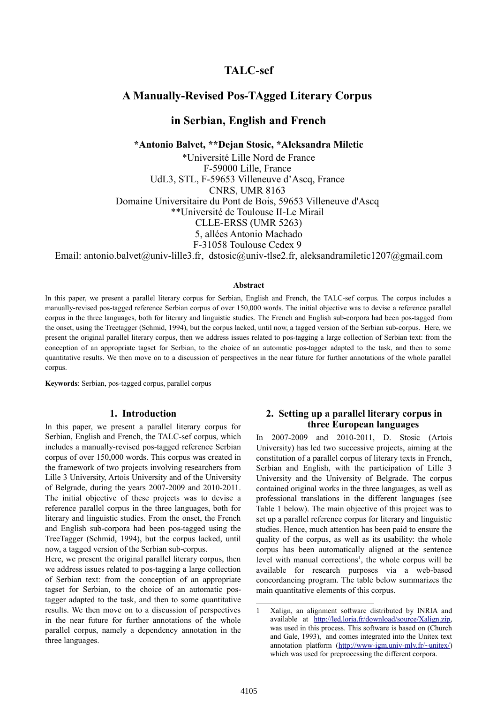# **TALC-sef**

# **A Manually-Revised Pos-TAgged Literary Corpus**

# **in Serbian, English and French**

**\*Antonio Balvet, \*\*Dejan Stosic, \*Aleksandra Miletic**

\*Université Lille Nord de France F-59000 Lille, France UdL3, STL, F-59653 Villeneuve d'Ascq, France CNRS, UMR 8163 Domaine Universitaire du Pont de Bois, 59653 Villeneuve d'Ascq \*\*Université de Toulouse II-Le Mirail CLLE-ERSS (UMR 5263) 5, allées Antonio Machado F-31058 Toulouse Cedex 9

Email: antonio.balvet@univ-lille3.fr, dstosic@univ-tlse2.fr, aleksandramiletic1207@gmail.com

#### **Abstract**

In this paper, we present a parallel literary corpus for Serbian, English and French, the TALC-sef corpus. The corpus includes a manually-revised pos-tagged reference Serbian corpus of over 150,000 words. The initial objective was to devise a reference parallel corpus in the three languages, both for literary and linguistic studies. The French and English sub-corpora had been pos-tagged from the onset, using the Treetagger (Schmid, 1994), but the corpus lacked, until now, a tagged version of the Serbian sub-corpus. Here, we present the original parallel literary corpus, then we address issues related to pos-tagging a large collection of Serbian text: from the conception of an appropriate tagset for Serbian, to the choice of an automatic pos-tagger adapted to the task, and then to some quantitative results. We then move on to a discussion of perspectives in the near future for further annotations of the whole parallel corpus.

**Keywords**: Serbian, pos-tagged corpus, parallel corpus

#### **1. Introduction**

In this paper, we present a parallel literary corpus for Serbian, English and French, the TALC-sef corpus, which includes a manually-revised pos-tagged reference Serbian corpus of over 150,000 words. This corpus was created in the framework of two projects involving researchers from Lille 3 University, Artois University and of the University of Belgrade, during the years 2007-2009 and 2010-2011. The initial objective of these projects was to devise a reference parallel corpus in the three languages, both for literary and linguistic studies. From the onset, the French and English sub-corpora had been pos-tagged using the TreeTagger (Schmid, 1994), but the corpus lacked, until now, a tagged version of the Serbian sub-corpus.

Here, we present the original parallel literary corpus, then we address issues related to pos-tagging a large collection of Serbian text: from the conception of an appropriate tagset for Serbian, to the choice of an automatic postagger adapted to the task, and then to some quantitative results. We then move on to a discussion of perspectives in the near future for further annotations of the whole parallel corpus, namely a dependency annotation in the three languages.

## **2. Setting up a parallel literary corpus in three European languages**

In 2007-2009 and 2010-2011, D. Stosic (Artois University) has led two successive projects, aiming at the constitution of a parallel corpus of literary texts in French, Serbian and English, with the participation of Lille 3 University and the University of Belgrade. The corpus contained original works in the three languages, as well as professional translations in the different languages (see Table 1 below). The main objective of this project was to set up a parallel reference corpus for literary and linguistic studies. Hence, much attention has been paid to ensure the quality of the corpus, as well as its usability: the whole corpus has been automatically aligned at the sentence level with manual corrections<sup>[1](#page-0-0)</sup>, the whole corpus will be available for research purposes via a web-based concordancing program. The table below summarizes the main quantitative elements of this corpus.

<span id="page-0-0"></span><sup>1</sup> Xalign, an alignment software distributed by INRIA and available at [http://led.loria.fr/download/source/Xalign.zip,](http://led.loria.fr/download/source/Xalign.zip) was used in this process. This software is based on (Church and Gale, 1993), and comes integrated into the Unitex text annotation platform [\(http://www-igm.univ-mlv.fr/~unitex/\)](http://www-igm.univ-mlv.fr/~unitex/) which was used for preprocessing the different corpora.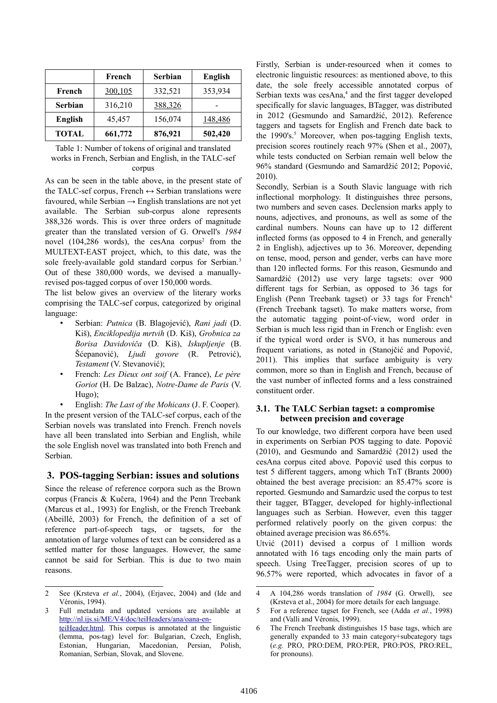|                | French  | <b>Serbian</b> | <b>English</b> |
|----------------|---------|----------------|----------------|
| French         | 300,105 | 332,521        | 353,934        |
| <b>Serbian</b> | 316,210 | 388,326        |                |
| English        | 45,457  | 156,074        | 148,486        |
| <b>TOTAL</b>   | 661,772 | 876,921        | 502,420        |

Table 1: Number of tokens of original and translated works in French, Serbian and English, in the TALC-sef corpus

As can be seen in the table above, in the present state of the TALC-sef corpus, French  $\leftrightarrow$  Serbian translations were favoured, while Serbian  $\rightarrow$  English translations are not yet available. The Serbian sub-corpus alone represents 388,326 words. This is over three orders of magnitude greater than the translated version of G. Orwell's *1984* novel (104,[2](#page-1-0)86 words), the cesAna corpus<sup>2</sup> from the MULTEXT-EAST project, which, to this date, was the sole freely-available gold standard corpus for Serbian.<sup>[3](#page-1-1)</sup> Out of these 380,000 words, we devised a manuallyrevised pos-tagged corpus of over 150,000 words.

The list below gives an overview of the literary works comprising the TALC-sef corpus, categorized by original language:

- Serbian: *Putnica* (B. Blagojević), *Rani jadi* (D. Kiš), *Enciklopedija mrtvih* (D. Kiš), *Grobnica za Borisa Davidoviča* (D. Kiš), *Iskupljenje* (B. Šćepanović), *Ljudi govore* (R. Petrović), *Testament* (V. Stevanović);
- French: *Les Dieux ont soif* (A. France), *Le père Goriot* (H. De Balzac), *Notre-Dame de Paris* (V. Hugo);

• English: *The Last of the Mohicans* (J. F. Cooper). In the present version of the TALC-sef corpus, each of the Serbian novels was translated into French. French novels have all been translated into Serbian and English, while the sole English novel was translated into both French and Serbian.

# **3. POS-tagging Serbian: issues and solutions**

Since the release of reference corpora such as the Brown corpus (Francis & Kučera, 1964) and the Penn Treebank (Marcus et al., 1993) for English, or the French Treebank (Abeillé, 2003) for French, the definition of a set of reference part-of-speech tags, or tagsets, for the annotation of large volumes of text can be considered as a settled matter for those languages. However, the same cannot be said for Serbian. This is due to two main reasons.

Firstly, Serbian is under-resourced when it comes to electronic linguistic resources: as mentioned above, to this date, the sole freely accessible annotated corpus of Serbian texts was  $cesAna<sub>1</sub><sup>4</sup>$  $cesAna<sub>1</sub><sup>4</sup>$  $cesAna<sub>1</sub><sup>4</sup>$  and the first tagger developed specifically for slavic languages, BTagger, was distributed in 2012 (Gesmundo and Samardžić, 2012). Reference taggers and tagsets for English and French date back to the  $1990's$ .<sup>[5](#page-1-3)</sup> Moreover, when pos-tagging English texts, precision scores routinely reach 97% (Shen et al., 2007), while tests conducted on Serbian remain well below the 96% standard (Gesmundo and Samardžić 2012; Popović, 2010).

Secondly, Serbian is a South Slavic language with rich inflectional morphology. It distinguishes three persons, two numbers and seven cases. Declension marks apply to nouns, adjectives, and pronouns, as well as some of the cardinal numbers. Nouns can have up to 12 different inflected forms (as opposed to 4 in French, and generally 2 in English), adjectives up to 36. Moreover, depending on tense, mood, person and gender, verbs can have more than 120 inflected forms. For this reason, Gesmundo and Samardžić (2012) use very large tagsets: over 900 different tags for Serbian, as opposed to 36 tags for English (Penn Treebank tagset) or 33 tags for French<sup>[6](#page-1-4)</sup> (French Treebank tagset). To make matters worse, from the automatic tagging point-of-view, word order in Serbian is much less rigid than in French or English: even if the typical word order is SVO, it has numerous and frequent variations, as noted in (Stanojčić and Popović, 2011). This implies that surface ambiguity is very common, more so than in English and French, because of the vast number of inflected forms and a less constrained constituent order.

### **3.1. The TALC Serbian tagset: a compromise between precision and coverage**

To our knowledge, two different corpora have been used in experiments on Serbian POS tagging to date. Popović (2010), and Gesmundo and Samardžić (2012) used the cesAna corpus cited above. Popović used this corpus to test 5 different taggers, among which TnT (Brants 2000) obtained the best average precision: an 85.47% score is reported. Gesmundo and Samardzic used the corpus to test their tagger, BTagger, developed for highly-inflectional languages such as Serbian. However, even this tagger performed relatively poorly on the given corpus: the obtained average precision was 86.65%.

Utvić (2011) devised a corpus of 1 million words annotated with 16 tags encoding only the main parts of speech. Using TreeTagger, precision scores of up to 96.57% were reported, which advocates in favor of a

<span id="page-1-0"></span><sup>2</sup> See (Krsteva *et al.*, 2004), (Erjavec, 2004) and (Ide and Véronis, 1994).

<span id="page-1-1"></span><sup>3</sup> Full metadata and updated versions are available at [http://nl.ijs.si/ME/V4/doc/teiHeaders/ana/oana-en](http://nl.ijs.si/ME/V4/doc/teiHeaders/ana/oana-en-teiHeader.html)[teiHeader.html.](http://nl.ijs.si/ME/V4/doc/teiHeaders/ana/oana-en-teiHeader.html) This corpus is annotated at the linguistic (lemma, pos-tag) level for: Bulgarian, Czech, English, Estonian, Hungarian, Macedonian, Persian, Polish, Romanian, Serbian, Slovak, and Slovene.

<span id="page-1-2"></span><sup>4</sup> A 104,286 words translation of *1984* (G. Orwell), see (Krsteva et al., 2004) for more details for each language.

<span id="page-1-3"></span><sup>5</sup> For a reference tagset for French, see (Adda *et al.*, 1998) and (Valli and Véronis, 1999).

<span id="page-1-4"></span><sup>6</sup> The French Treebank distinguishes 15 base tags, which are generally expanded to 33 main category+subcategory tags (*e.g.* PRO, PRO:DEM, PRO:PER, PRO:POS, PRO:REL, for pronouns).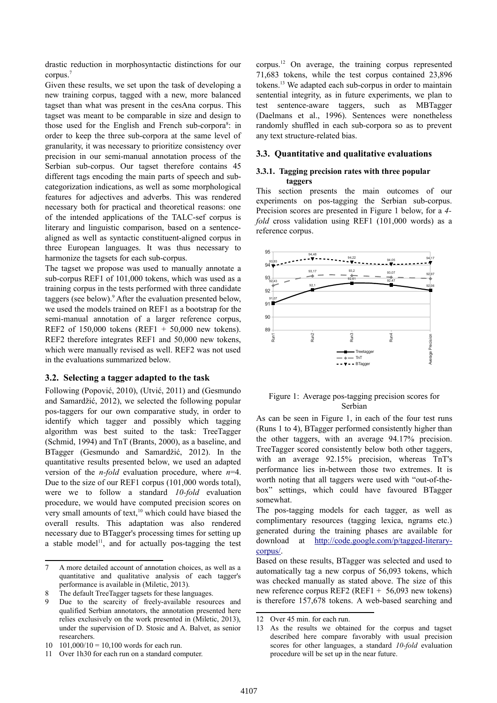drastic reduction in morphosyntactic distinctions for our corpus. [7](#page-2-0)

Given these results, we set upon the task of developing a new training corpus, tagged with a new, more balanced tagset than what was present in the cesAna corpus. This tagset was meant to be comparable in size and design to those used for the English and French sub-corpora<sup>[8](#page-2-1)</sup>: in order to keep the three sub-corpora at the same level of granularity, it was necessary to prioritize consistency over precision in our semi-manual annotation process of the Serbian sub-corpus. Our tagset therefore contains 45 different tags encoding the main parts of speech and subcategorization indications, as well as some morphological features for adjectives and adverbs. This was rendered necessary both for practical and theoretical reasons: one of the intended applications of the TALC-sef corpus is literary and linguistic comparison, based on a sentencealigned as well as syntactic constituent-aligned corpus in three European languages. It was thus necessary to harmonize the tagsets for each sub-corpus.

The tagset we propose was used to manually annotate a sub-corpus REF1 of 101,000 tokens, which was used as a training corpus in the tests performed with three candidate taggers (see below).<sup>[9](#page-2-2)</sup> After the evaluation presented below, we used the models trained on REF1 as a bootstrap for the semi-manual annotation of a larger reference corpus, REF2 of 150,000 tokens (REF1  $+$  50,000 new tokens). REF2 therefore integrates REF1 and 50,000 new tokens, which were manually revised as well. REF2 was not used in the evaluations summarized below.

#### **3.2. Selecting a tagger adapted to the task**

Following (Popović, 2010), (Utvić, 2011) and (Gesmundo and Samardžić, 2012), we selected the following popular pos-taggers for our own comparative study, in order to identify which tagger and possibly which tagging algorithm was best suited to the task: TreeTagger (Schmid, 1994) and TnT (Brants, 2000), as a baseline, and BTagger (Gesmundo and Samardžić, 2012). In the quantitative results presented below, we used an adapted version of the *n-fold* evaluation procedure, where *n*=4. Due to the size of our REF1 corpus (101,000 words total), were we to follow a standard *10-fold* evaluation procedure, we would have computed precision scores on very small amounts of text, $10$  which could have biased the overall results. This adaptation was also rendered necessary due to BTagger's processing times for setting up a stable model<sup>[11](#page-2-4)</sup>, and for actually pos-tagging the test corpus.[12](#page-2-5) On average, the training corpus represented 71,683 tokens, while the test corpus contained 23,896 tokens.[13](#page-2-6) We adapted each sub-corpus in order to maintain sentential integrity, as in future experiments, we plan to test sentence-aware taggers, such as MBTagger (Daelmans et al., 1996). Sentences were nonetheless randomly shuffled in each sub-corpora so as to prevent any text structure-related bias.

## **3.3. Quantitative and qualitative evaluations**

#### **3.3.1. Tagging precision rates with three popular taggers**

This section presents the main outcomes of our experiments on pos-tagging the Serbian sub-corpus. Precision scores are presented in Figure 1 below, for a *4 fold* cross validation using REF1 (101,000 words) as a reference corpus.



#### Figure 1: Average pos-tagging precision scores for Serbian

As can be seen in Figure 1, in each of the four test runs (Runs 1 to 4), BTagger performed consistently higher than the other taggers, with an average 94.17% precision. TreeTagger scored consistently below both other taggers, with an average 92.15% precision, whereas TnT's performance lies in-between those two extremes. It is worth noting that all taggers were used with "out-of-thebox" settings, which could have favoured BTagger somewhat.

The pos-tagging models for each tagger, as well as complimentary resources (tagging lexica, ngrams etc.) generated during the training phases are available for download at [http://code.google.com/p/tagged-literary](http://code.google.com/p/tagged-literary-corpus/)[corpus/.](http://code.google.com/p/tagged-literary-corpus/)

Based on these results, BTagger was selected and used to automatically tag a new corpus of 56,093 tokens, which was checked manually as stated above. The size of this new reference corpus REF2 (REF1 + 56,093 new tokens) is therefore 157,678 tokens. A web-based searching and

<span id="page-2-0"></span><sup>7</sup> A more detailed account of annotation choices, as well as a quantitative and qualitative analysis of each tagger's performance is available in (Miletic, 2013).

<span id="page-2-1"></span><sup>8</sup> The default TreeTagger tagsets for these languages.

<span id="page-2-2"></span>Due to the scarcity of freely-available resources and qualified Serbian annotators, the annotation presented here relies exclusively on the work presented in (Miletic, 2013), under the supervision of D. Stosic and A. Balvet, as senior researchers.

<span id="page-2-3"></span> $10 \quad 101,000/10 = 10,100$  words for each run.

<span id="page-2-4"></span><sup>11</sup> Over 1h30 for each run on a standard computer.

<span id="page-2-5"></span><sup>12</sup> Over 45 min. for each run.

<span id="page-2-6"></span><sup>13</sup> As the results we obtained for the corpus and tagset described here compare favorably with usual precision scores for other languages, a standard *10-fold* evaluation procedure will be set up in the near future.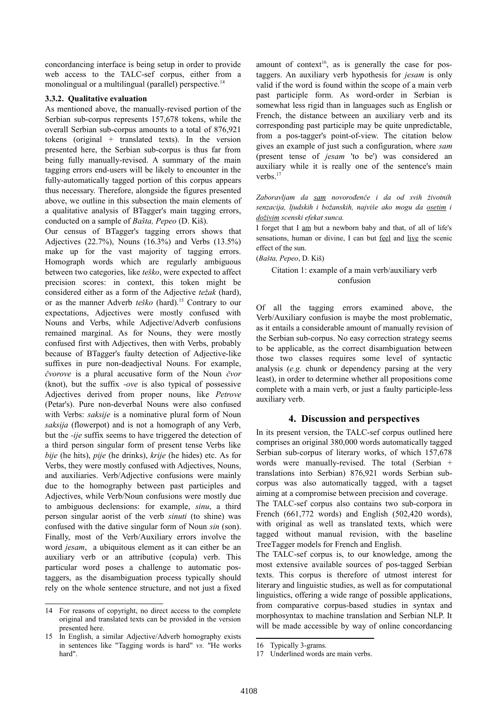concordancing interface is being setup in order to provide web access to the TALC-sef corpus, either from a monolingual or a multilingual (parallel) perspective.<sup>[14](#page-3-0)</sup>

#### **3.3.2. Qualitative evaluation**

As mentioned above, the manually-revised portion of the Serbian sub-corpus represents 157,678 tokens, while the overall Serbian sub-corpus amounts to a total of 876,921 tokens (original + translated texts). In the version presented here, the Serbian sub-corpus is thus far from being fully manually-revised. A summary of the main tagging errors end-users will be likely to encounter in the fully-automatically tagged portion of this corpus appears thus necessary. Therefore, alongside the figures presented above, we outline in this subsection the main elements of a qualitative analysis of BTagger's main tagging errors, conducted on a sample of *Bašta, Pepeo* (D. Kiš).

Our census of BTagger's tagging errors shows that Adjectives (22.7%), Nouns (16.3%) and Verbs (13.5%) make up for the vast majority of tagging errors. Homograph words which are regularly ambiguous between two categories, like *teško*, were expected to affect precision scores: in context, this token might be considered either as a form of the Adjective *težak* (hard), or as the manner Adverb *teško* (hard).[15](#page-3-1) Contrary to our expectations, Adjectives were mostly confused with Nouns and Verbs, while Adjective/Adverb confusions remained marginal. As for Nouns, they were mostly confused first with Adjectives, then with Verbs, probably because of BTagger's faulty detection of Adjective-like suffixes in pure non-deadjectival Nouns. For example, *čvorove* is a plural accusative form of the Noun *čvor* (knot), but the suffix *-ove* is also typical of possessive Adjectives derived from proper nouns, like *Petrove* (Petar's). Pure non-deverbal Nouns were also confused with Verbs: *saksije* is a nominative plural form of Noun *saksija* (flowerpot) and is not a homograph of any Verb, but the *-ije* suffix seems to have triggered the detection of a third person singular form of present tense Verbs like *bije* (he hits), *pije* (he drinks), *krije* (he hides) etc. As for Verbs, they were mostly confused with Adjectives, Nouns, and auxiliaries. Verb/Adjective confusions were mainly due to the homography between past participles and Adjectives, while Verb/Noun confusions were mostly due to ambiguous declensions: for example, *sinu*, a third person singular aorist of the verb *sinuti* (to shine) was confused with the dative singular form of Noun *sin* (son). Finally, most of the Verb/Auxiliary errors involve the word *jesam*, a ubiquitous element as it can either be an auxiliary verb or an attributive (copula) verb. This particular word poses a challenge to automatic postaggers, as the disambiguation process typically should rely on the whole sentence structure, and not just a fixed

amount of context<sup>[16](#page-3-2)</sup>, as is generally the case for postaggers. An auxiliary verb hypothesis for *jesam* is only valid if the word is found within the scope of a main verb past participle form. As word-order in Serbian is somewhat less rigid than in languages such as English or French, the distance between an auxiliary verb and its corresponding past participle may be quite unpredictable, from a pos-tagger's point-of-view. The citation below gives an example of just such a configuration, where *sam* (present tense of *jesam* 'to be') was considered an auxiliary while it is really one of the sentence's main verbs. [17](#page-3-3)

*Zaboravljam da sam novorođenče i da od svih životnih senzacija, ljudskih i božanskih, najviše ako mogu da osetim i doživim scenski efekat sunca.*

I forget that I am but a newborn baby and that, of all of life's sensations, human or divine, I can but feel and live the scenic effect of the sun.

(*Bašta, Pepeo*, D. Kiš)

# Citation 1: example of a main verb/auxiliary verb confusion

Of all the tagging errors examined above, the Verb/Auxiliary confusion is maybe the most problematic, as it entails a considerable amount of manually revision of the Serbian sub-corpus. No easy correction strategy seems to be applicable, as the correct disambiguation between those two classes requires some level of syntactic analysis (*e.g.* chunk or dependency parsing at the very least), in order to determine whether all propositions come complete with a main verb, or just a faulty participle-less auxiliary verb.

# **4. Discussion and perspectives**

In its present version, the TALC-sef corpus outlined here comprises an original 380,000 words automatically tagged Serbian sub-corpus of literary works, of which 157,678 words were manually-revised. The total (Serbian + translations into Serbian) 876,921 words Serbian subcorpus was also automatically tagged, with a tagset aiming at a compromise between precision and coverage.

The TALC-sef corpus also contains two sub-corpora in French (661,772 words) and English (502,420 words), with original as well as translated texts, which were tagged without manual revision, with the baseline TreeTagger models for French and English.

The TALC-sef corpus is, to our knowledge, among the most extensive available sources of pos-tagged Serbian texts. This corpus is therefore of utmost interest for literary and linguistic studies, as well as for computational linguistics, offering a wide range of possible applications, from comparative corpus-based studies in syntax and morphosyntax to machine translation and Serbian NLP. It will be made accessible by way of online concordancing

<span id="page-3-0"></span><sup>14</sup> For reasons of copyright, no direct access to the complete original and translated texts can be provided in the version presented here.

<span id="page-3-1"></span><sup>15</sup> In English, a similar Adjective/Adverb homography exists in sentences like "Tagging words is hard" *vs.* "He works hard".

<span id="page-3-2"></span><sup>16</sup> Typically 3-grams.

<span id="page-3-3"></span><sup>17</sup> Underlined words are main verbs.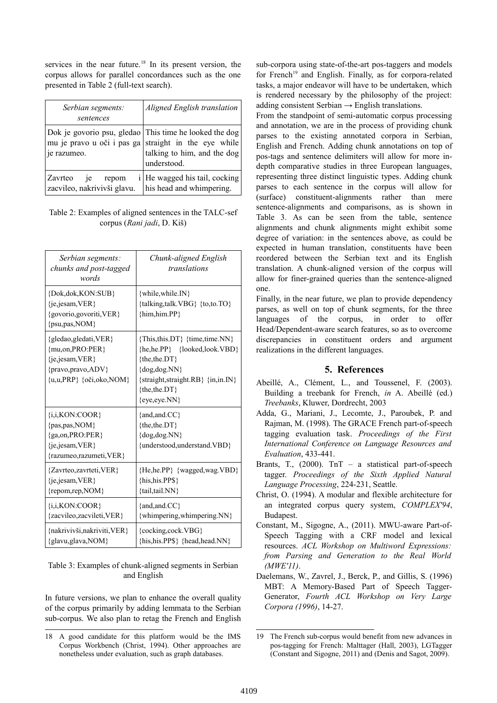services in the near future.<sup>[18](#page-4-0)</sup> In its present version, the corpus allows for parallel concordances such as the one presented in Table 2 (full-text search).

| Serbian segments:<br>sentences                        | Aligned English translation                                                                                                       |
|-------------------------------------------------------|-----------------------------------------------------------------------------------------------------------------------------------|
| mu je pravo u oči i pas ga<br>je razumeo.             | Dok je govorio psu, gledao This time he looked the dog<br>straight in the eye while<br>talking to him, and the dog<br>understood. |
| Zavrteo<br>1e<br>repom<br>zacvileo, nakrivivši glavu. | i   He wagged his tail, cocking<br>his head and whimpering.                                                                       |

Table 2: Examples of aligned sentences in the TALC-sef corpus (*Rani jadi*, D. Kiš)

| Serbian segments:<br>chunks and post-tagged<br>words                                                                | Chunk-aligned English<br>translations                                                                                                                                                            |
|---------------------------------------------------------------------------------------------------------------------|--------------------------------------------------------------------------------------------------------------------------------------------------------------------------------------------------|
| {Dok,dok,KON:SUB}<br>{je,jesam, VER}<br>{govorio,govoriti, VER}<br>{psu,pas,NOM}                                    | {while, while. IN}<br>{talking,talk.VBG} {to,to.TO}<br>{him,him.PP}                                                                                                                              |
| {gledao,gledati,VER}<br>{mu,on, PRO: PER}<br>{je,jesam, VER}<br>{pravo,pravo,ADV}<br>$\{u, u, PRP\}$ {oči,oko, NOM} | {This, this. DT} {time, time. NN}<br>{he,he.PP} {looked,look.VBD}<br>${the, the, DT}$<br>$\{dog, dog, NN\}$<br>$\{straight, straight, RB\}$ $\{in, in, IN\}$<br>${the, the, DT}$<br>{eye,eye.NN} |
| $\{i, i, KON: COOR\}$<br>{pas,pas, NOM}<br>{ga,on, PRO: PER}<br>{je,jesam, VER}<br>{razumeo,razumeti, VER}          | $\{and, and, CC\}$<br>{the,the.DT}<br>$\{dog, dog, NN\}$<br>{understood,understand.VBD}                                                                                                          |
| {Zavrteo, zavrteti, VER}<br>{je,jesam, VER}<br>{repom,rep,NOM}                                                      | {He,he.PP} {wagged,wag.VBD}<br>{his,his.PP\$}<br>{tail,tail.NN}                                                                                                                                  |
| $\{i, i, KON: COOR\}$<br>{zacvileo,zacvileti, VER}                                                                  | $\{and, and, CC\}$<br>{whimpering, whimpering. NN}                                                                                                                                               |
| {nakrivivši,nakriviti, VER}<br>{glavu,glava,NOM}                                                                    | {cocking,cock.VBG}<br>{his,his.PP\$} {head,head.NN}                                                                                                                                              |

Table 3: Examples of chunk-aligned segments in Serbian and English

In future versions, we plan to enhance the overall quality of the corpus primarily by adding lemmata to the Serbian sub-corpus. We also plan to retag the French and English

sub-corpora using state-of-the-art pos-taggers and models for French<sup>[19](#page-4-1)</sup> and English. Finally, as for corpora-related tasks, a major endeavor will have to be undertaken, which is rendered necessary by the philosophy of the project: adding consistent Serbian  $\rightarrow$  English translations.

From the standpoint of semi-automatic corpus processing and annotation, we are in the process of providing chunk parses to the existing annotated corpora in Serbian, English and French. Adding chunk annotations on top of pos-tags and sentence delimiters will allow for more indepth comparative studies in three European languages, representing three distinct linguistic types. Adding chunk parses to each sentence in the corpus will allow for (surface) constituent-alignments rather than mere sentence-alignments and comparisons, as is shown in Table 3. As can be seen from the table, sentence alignments and chunk alignments might exhibit some degree of variation: in the sentences above, as could be expected in human translation, constituents have been reordered between the Serbian text and its English translation. A chunk-aligned version of the corpus will allow for finer-grained queries than the sentence-aligned one.

Finally, in the near future, we plan to provide dependency parses, as well on top of chunk segments, for the three languages of the corpus, in order to offer Head/Dependent-aware search features, so as to overcome discrepancies in constituent orders and argument realizations in the different languages.

# **5. References**

- Abeillé, A., Clément, L., and Toussenel, F. (2003). Building a treebank for French, *in* A. Abeillé (ed.) *Treebanks*, Kluwer, Dordrecht, 2003
- Adda, G., Mariani, J., Lecomte, J., Paroubek, P. and Rajman, M. (1998). The GRACE French part-of-speech tagging evaluation task. *Proceedings of the First International Conference on Language Resources and Evaluation*, 433-441.
- Brants, T.,  $(2000)$ . TnT a statistical part-of-speech tagger. *Proceedings of the Sixth Applied Natural Language Processing*, 224-231, Seattle.
- Christ, O. (1994). A modular and flexible architecture for an integrated corpus query system, *COMPLEX'94*, Budapest.
- Constant, M., Sigogne, A., (2011). MWU-aware Part-of-Speech Tagging with a CRF model and lexical resources. *ACL Workshop on Multiword Expressions: from Parsing and Generation to the Real World (MWE'11)*.
- Daelemans, W., Zavrel, J., Berck, P., and Gillis, S. (1996) MBT: A Memory-Based Part of Speech Tagger-Generator, *Fourth ACL Workshop on Very Large Corpora (1996)*, 14-27.

<span id="page-4-0"></span><sup>18</sup> A good candidate for this platform would be the IMS Corpus Workbench (Christ, 1994). Other approaches are nonetheless under evaluation, such as graph databases.

<span id="page-4-1"></span><sup>19</sup> The French sub-corpus would benefit from new advances in pos-tagging for French: Malttager (Hall, 2003), LGTagger (Constant and Sigogne, 2011) and (Denis and Sagot, 2009).